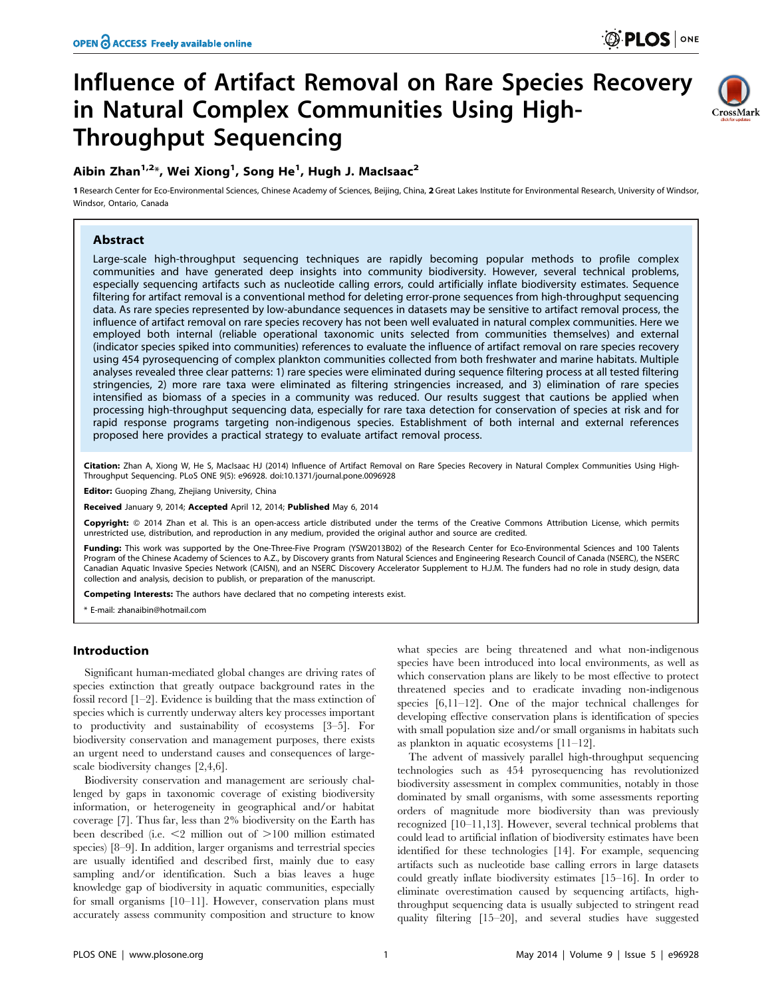CrossMark

# Influence of Artifact Removal on Rare Species Recovery in Natural Complex Communities Using High-Throughput Sequencing

# Aibin Zhan $^{1,2\ast}$ , Wei Xiong $^{1}$ , Song He $^{1}$ , Hugh J. MacIsaac $^{2}$

1 Research Center for Eco-Environmental Sciences, Chinese Academy of Sciences, Beijing, China, 2 Great Lakes Institute for Environmental Research, University of Windsor, Windsor, Ontario, Canada

## Abstract

Large-scale high-throughput sequencing techniques are rapidly becoming popular methods to profile complex communities and have generated deep insights into community biodiversity. However, several technical problems, especially sequencing artifacts such as nucleotide calling errors, could artificially inflate biodiversity estimates. Sequence filtering for artifact removal is a conventional method for deleting error-prone sequences from high-throughput sequencing data. As rare species represented by low-abundance sequences in datasets may be sensitive to artifact removal process, the influence of artifact removal on rare species recovery has not been well evaluated in natural complex communities. Here we employed both internal (reliable operational taxonomic units selected from communities themselves) and external (indicator species spiked into communities) references to evaluate the influence of artifact removal on rare species recovery using 454 pyrosequencing of complex plankton communities collected from both freshwater and marine habitats. Multiple analyses revealed three clear patterns: 1) rare species were eliminated during sequence filtering process at all tested filtering stringencies, 2) more rare taxa were eliminated as filtering stringencies increased, and 3) elimination of rare species intensified as biomass of a species in a community was reduced. Our results suggest that cautions be applied when processing high-throughput sequencing data, especially for rare taxa detection for conservation of species at risk and for rapid response programs targeting non-indigenous species. Establishment of both internal and external references proposed here provides a practical strategy to evaluate artifact removal process.

Citation: Zhan A, Xiong W, He S, MacIsaac HJ (2014) Influence of Artifact Removal on Rare Species Recovery in Natural Complex Communities Using High-Throughput Sequencing. PLoS ONE 9(5): e96928. doi:10.1371/journal.pone.0096928

Editor: Guoping Zhang, Zhejiang University, China

Received January 9, 2014; Accepted April 12, 2014; Published May 6, 2014

Copyright: © 2014 Zhan et al. This is an open-access article distributed under the terms of the [Creative Commons Attribution License,](http://creativecommons.org/licenses/by/4.0/) which permits unrestricted use, distribution, and reproduction in any medium, provided the original author and source are credited.

Funding: This work was supported by the One-Three-Five Program (YSW2013B02) of the Research Center for Eco-Environmental Sciences and 100 Talents Program of the Chinese Academy of Sciences to A.Z., by Discovery grants from Natural Sciences and Engineering Research Council of Canada (NSERC), the NSERC Canadian Aquatic Invasive Species Network (CAISN), and an NSERC Discovery Accelerator Supplement to H.J.M. The funders had no role in study design, data collection and analysis, decision to publish, or preparation of the manuscript.

Competing Interests: The authors have declared that no competing interests exist.

\* E-mail: zhanaibin@hotmail.com

## Introduction

Significant human-mediated global changes are driving rates of species extinction that greatly outpace background rates in the fossil record [1–2]. Evidence is building that the mass extinction of species which is currently underway alters key processes important to productivity and sustainability of ecosystems [3–5]. For biodiversity conservation and management purposes, there exists an urgent need to understand causes and consequences of largescale biodiversity changes [2,4,6].

Biodiversity conservation and management are seriously challenged by gaps in taxonomic coverage of existing biodiversity information, or heterogeneity in geographical and/or habitat coverage [7]. Thus far, less than 2% biodiversity on the Earth has been described (i.e.  $\leq$ 2 million out of  $\geq$ 100 million estimated species) [8–9]. In addition, larger organisms and terrestrial species are usually identified and described first, mainly due to easy sampling and/or identification. Such a bias leaves a huge knowledge gap of biodiversity in aquatic communities, especially for small organisms [10–11]. However, conservation plans must accurately assess community composition and structure to know

what species are being threatened and what non-indigenous species have been introduced into local environments, as well as which conservation plans are likely to be most effective to protect threatened species and to eradicate invading non-indigenous species [6,11–12]. One of the major technical challenges for developing effective conservation plans is identification of species with small population size and/or small organisms in habitats such as plankton in aquatic ecosystems [11–12].

The advent of massively parallel high-throughput sequencing technologies such as 454 pyrosequencing has revolutionized biodiversity assessment in complex communities, notably in those dominated by small organisms, with some assessments reporting orders of magnitude more biodiversity than was previously recognized [10–11,13]. However, several technical problems that could lead to artificial inflation of biodiversity estimates have been identified for these technologies [14]. For example, sequencing artifacts such as nucleotide base calling errors in large datasets could greatly inflate biodiversity estimates [15–16]. In order to eliminate overestimation caused by sequencing artifacts, highthroughput sequencing data is usually subjected to stringent read quality filtering [15–20], and several studies have suggested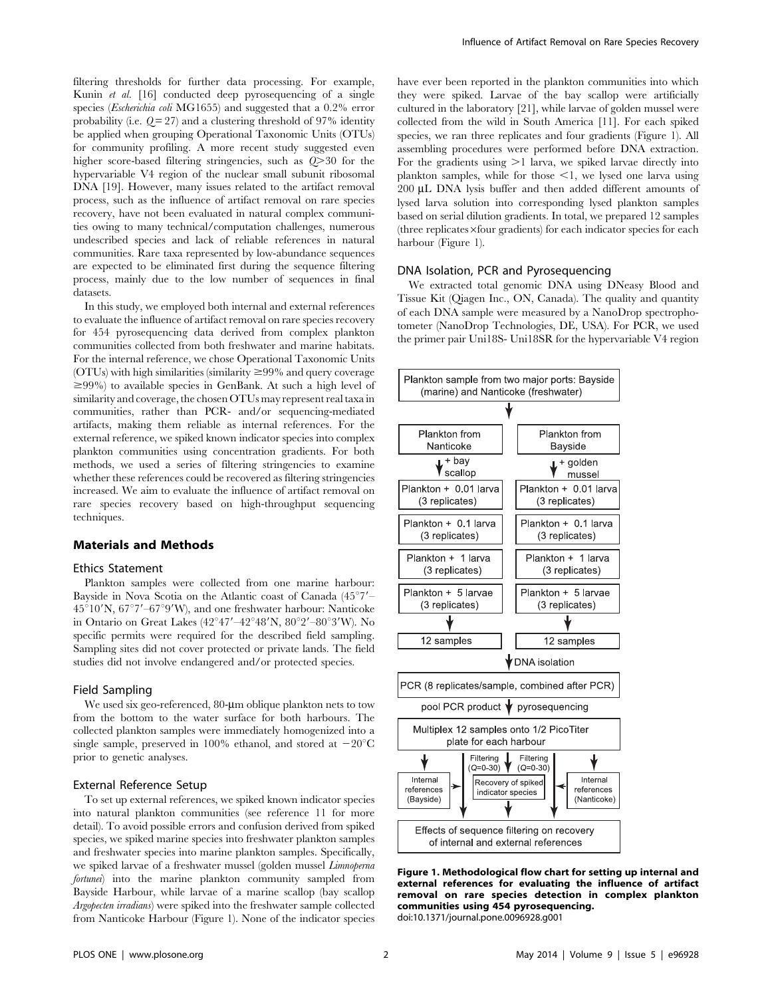filtering thresholds for further data processing. For example, Kunin et al. [16] conducted deep pyrosequencing of a single species (Escherichia coli MG1655) and suggested that a 0.2% error probability (i.e.  $Q = 27$ ) and a clustering threshold of 97% identity be applied when grouping Operational Taxonomic Units (OTUs) for community profiling. A more recent study suggested even higher score-based filtering stringencies, such as  $Q > 30$  for the hypervariable V4 region of the nuclear small subunit ribosomal DNA [19]. However, many issues related to the artifact removal process, such as the influence of artifact removal on rare species recovery, have not been evaluated in natural complex communities owing to many technical/computation challenges, numerous undescribed species and lack of reliable references in natural communities. Rare taxa represented by low-abundance sequences are expected to be eliminated first during the sequence filtering process, mainly due to the low number of sequences in final datasets.

In this study, we employed both internal and external references to evaluate the influence of artifact removal on rare species recovery for 454 pyrosequencing data derived from complex plankton communities collected from both freshwater and marine habitats. For the internal reference, we chose Operational Taxonomic Units (OTUs) with high similarities (similarity  $\geq$ 99% and query coverage  $\geq$ 99%) to available species in GenBank. At such a high level of similarity and coverage, the chosen OTUs may represent real taxa in communities, rather than PCR- and/or sequencing-mediated artifacts, making them reliable as internal references. For the external reference, we spiked known indicator species into complex plankton communities using concentration gradients. For both methods, we used a series of filtering stringencies to examine whether these references could be recovered as filtering stringencies increased. We aim to evaluate the influence of artifact removal on rare species recovery based on high-throughput sequencing techniques.

#### Materials and Methods

### Ethics Statement

Plankton samples were collected from one marine harbour: Bayside in Nova Scotia on the Atlantic coast of Canada  $(45^{\circ}7' 45^{\circ}10^{\prime}$ N,  $67^{\circ}7'$ – $67^{\circ}9'$ W), and one freshwater harbour: Nanticoke in Ontario on Great Lakes (42°47'–42°48'N, 80°2'–80°3'W). No specific permits were required for the described field sampling. Sampling sites did not cover protected or private lands. The field studies did not involve endangered and/or protected species.

#### Field Sampling

We used six geo-referenced, 80-um oblique plankton nets to tow from the bottom to the water surface for both harbours. The collected plankton samples were immediately homogenized into a single sample, preserved in 100% ethanol, and stored at  $-20^{\circ}$ C prior to genetic analyses.

#### External Reference Setup

To set up external references, we spiked known indicator species into natural plankton communities (see reference 11 for more detail). To avoid possible errors and confusion derived from spiked species, we spiked marine species into freshwater plankton samples and freshwater species into marine plankton samples. Specifically, we spiked larvae of a freshwater mussel (golden mussel Limnoperna fortunei) into the marine plankton community sampled from Bayside Harbour, while larvae of a marine scallop (bay scallop Argopecten irradians) were spiked into the freshwater sample collected from Nanticoke Harbour (Figure 1). None of the indicator species have ever been reported in the plankton communities into which they were spiked. Larvae of the bay scallop were artificially cultured in the laboratory [21], while larvae of golden mussel were collected from the wild in South America [11]. For each spiked species, we ran three replicates and four gradients (Figure 1). All assembling procedures were performed before DNA extraction. For the gradients using  $>1$  larva, we spiked larvae directly into plankton samples, while for those  $\leq 1$ , we lysed one larva using 200 µL DNA lysis buffer and then added different amounts of lysed larva solution into corresponding lysed plankton samples based on serial dilution gradients. In total, we prepared 12 samples  $(three replicates\timesfour\ gradients)$  for each indicator species for each harbour (Figure 1).

#### DNA Isolation, PCR and Pyrosequencing

We extracted total genomic DNA using DNeasy Blood and Tissue Kit (Qiagen Inc., ON, Canada). The quality and quantity of each DNA sample were measured by a NanoDrop spectrophotometer (NanoDrop Technologies, DE, USA). For PCR, we used the primer pair Uni18S- Uni18SR for the hypervariable V4 region



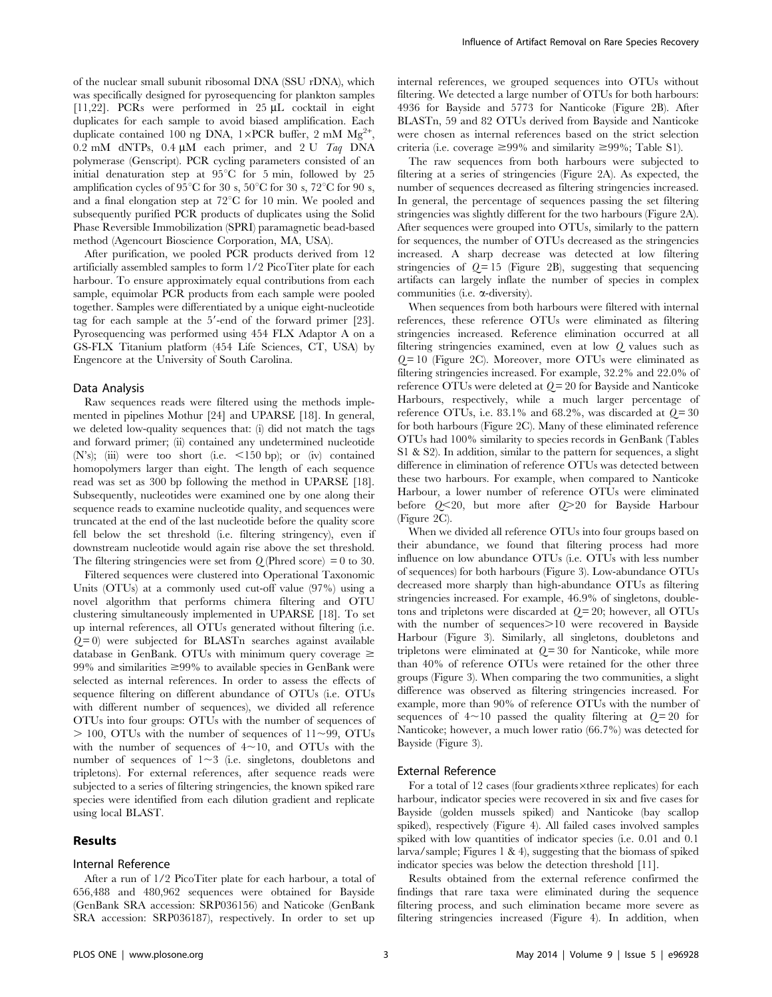of the nuclear small subunit ribosomal DNA (SSU rDNA), which was specifically designed for pyrosequencing for plankton samples [11,22]. PCRs were performed in 25  $\mu$ L cocktail in eight duplicates for each sample to avoid biased amplification. Each duplicate contained 100 ng DNA, 1×PCR buffer, 2 mM  $Mg^{2+}$ , 0.2 mM dNTPs, 0.4  $\mu$ M each primer, and 2 U Taq DNA polymerase (Genscript). PCR cycling parameters consisted of an initial denaturation step at  $95^{\circ}$ C for 5 min, followed by 25 amplification cycles of 95 $\mathrm{^{\circ}C}$  for 30 s, 50 $\mathrm{^{\circ}C}$  for 30 s, 72 $\mathrm{^{\circ}C}$  for 90 s, and a final elongation step at  $72^{\circ}$ C for 10 min. We pooled and subsequently purified PCR products of duplicates using the Solid Phase Reversible Immobilization (SPRI) paramagnetic bead-based method (Agencourt Bioscience Corporation, MA, USA).

After purification, we pooled PCR products derived from 12 artificially assembled samples to form 1/2 PicoTiter plate for each harbour. To ensure approximately equal contributions from each sample, equimolar PCR products from each sample were pooled together. Samples were differentiated by a unique eight-nucleotide tag for each sample at the  $5'$ -end of the forward primer  $[23]$ . Pyrosequencing was performed using 454 FLX Adaptor A on a GS-FLX Titanium platform (454 Life Sciences, CT, USA) by Engencore at the University of South Carolina.

#### Data Analysis

Raw sequences reads were filtered using the methods implemented in pipelines Mothur [24] and UPARSE [18]. In general, we deleted low-quality sequences that: (i) did not match the tags and forward primer; (ii) contained any undetermined nucleotide (N's); (iii) were too short (i.e.  $\lt 150$  bp); or (iv) contained homopolymers larger than eight. The length of each sequence read was set as 300 bp following the method in UPARSE [18]. Subsequently, nucleotides were examined one by one along their sequence reads to examine nucleotide quality, and sequences were truncated at the end of the last nucleotide before the quality score fell below the set threshold (i.e. filtering stringency), even if downstream nucleotide would again rise above the set threshold. The filtering stringencies were set from  $Q$  (Phred score) = 0 to 30.

Filtered sequences were clustered into Operational Taxonomic Units (OTUs) at a commonly used cut-off value (97%) using a novel algorithm that performs chimera filtering and OTU clustering simultaneously implemented in UPARSE [18]. To set up internal references, all OTUs generated without filtering (i.e.  $Q=0$ ) were subjected for BLASTn searches against available database in GenBank. OTUs with minimum query coverage  $\geq$ 99% and similarities  $\geq$ 99% to available species in GenBank were selected as internal references. In order to assess the effects of sequence filtering on different abundance of OTUs (i.e. OTUs with different number of sequences), we divided all reference OTUs into four groups: OTUs with the number of sequences of  $> 100$ , OTUs with the number of sequences of  $11 \sim 99$ , OTUs with the number of sequences of  $4 \sim 10$ , and OTUs with the number of sequences of  $1 \sim 3$  (i.e. singletons, doubletons and tripletons). For external references, after sequence reads were subjected to a series of filtering stringencies, the known spiked rare species were identified from each dilution gradient and replicate using local BLAST.

### Results

#### Internal Reference

After a run of 1/2 PicoTiter plate for each harbour, a total of 656,488 and 480,962 sequences were obtained for Bayside (GenBank SRA accession: SRP036156) and Naticoke (GenBank SRA accession: SRP036187), respectively. In order to set up

internal references, we grouped sequences into OTUs without filtering. We detected a large number of OTUs for both harbours: 4936 for Bayside and 5773 for Nanticoke (Figure 2B). After BLASTn, 59 and 82 OTUs derived from Bayside and Nanticoke were chosen as internal references based on the strict selection criteria (i.e. coverage  $\geq 99\%$  and similarity  $\geq 99\%$ ; Table S1).

The raw sequences from both harbours were subjected to filtering at a series of stringencies (Figure 2A). As expected, the number of sequences decreased as filtering stringencies increased. In general, the percentage of sequences passing the set filtering stringencies was slightly different for the two harbours (Figure 2A). After sequences were grouped into OTUs, similarly to the pattern for sequences, the number of OTUs decreased as the stringencies increased. A sharp decrease was detected at low filtering stringencies of  $Q = 15$  (Figure 2B), suggesting that sequencing artifacts can largely inflate the number of species in complex communities (i.e. a-diversity).

When sequences from both harbours were filtered with internal references, these reference OTUs were eliminated as filtering stringencies increased. Reference elimination occurred at all filtering stringencies examined, even at low Q values such as  $Q=10$  (Figure 2C). Moreover, more OTUs were eliminated as filtering stringencies increased. For example, 32.2% and 22.0% of reference OTUs were deleted at  $Q = 20$  for Bayside and Nanticoke Harbours, respectively, while a much larger percentage of reference OTUs, i.e.  $83.1\%$  and  $68.2\%$ , was discarded at  $Q=30$ for both harbours (Figure 2C). Many of these eliminated reference OTUs had 100% similarity to species records in GenBank (Tables S1 & S2). In addition, similar to the pattern for sequences, a slight difference in elimination of reference OTUs was detected between these two harbours. For example, when compared to Nanticoke Harbour, a lower number of reference OTUs were eliminated before  $0<20$ , but more after  $0>20$  for Bayside Harbour (Figure 2C).

When we divided all reference OTUs into four groups based on their abundance, we found that filtering process had more influence on low abundance OTUs (i.e. OTUs with less number of sequences) for both harbours (Figure 3). Low-abundance OTUs decreased more sharply than high-abundance OTUs as filtering stringencies increased. For example, 46.9% of singletons, doubletons and tripletons were discarded at  $Q = 20$ ; however, all OTUs with the number of sequences > 10 were recovered in Bayside Harbour (Figure 3). Similarly, all singletons, doubletons and tripletons were eliminated at  $Q=30$  for Nanticoke, while more than 40% of reference OTUs were retained for the other three groups (Figure 3). When comparing the two communities, a slight difference was observed as filtering stringencies increased. For example, more than 90% of reference OTUs with the number of sequences of  $4{\sim}10$  passed the quality filtering at  $Q=20$  for Nanticoke; however, a much lower ratio (66.7%) was detected for Bayside (Figure 3).

#### External Reference

For a total of 12 cases (four gradients  $\times$ three replicates) for each harbour, indicator species were recovered in six and five cases for Bayside (golden mussels spiked) and Nanticoke (bay scallop spiked), respectively (Figure 4). All failed cases involved samples spiked with low quantities of indicator species (i.e. 0.01 and 0.1 larva/sample; Figures 1 & 4), suggesting that the biomass of spiked indicator species was below the detection threshold [11].

Results obtained from the external reference confirmed the findings that rare taxa were eliminated during the sequence filtering process, and such elimination became more severe as filtering stringencies increased (Figure 4). In addition, when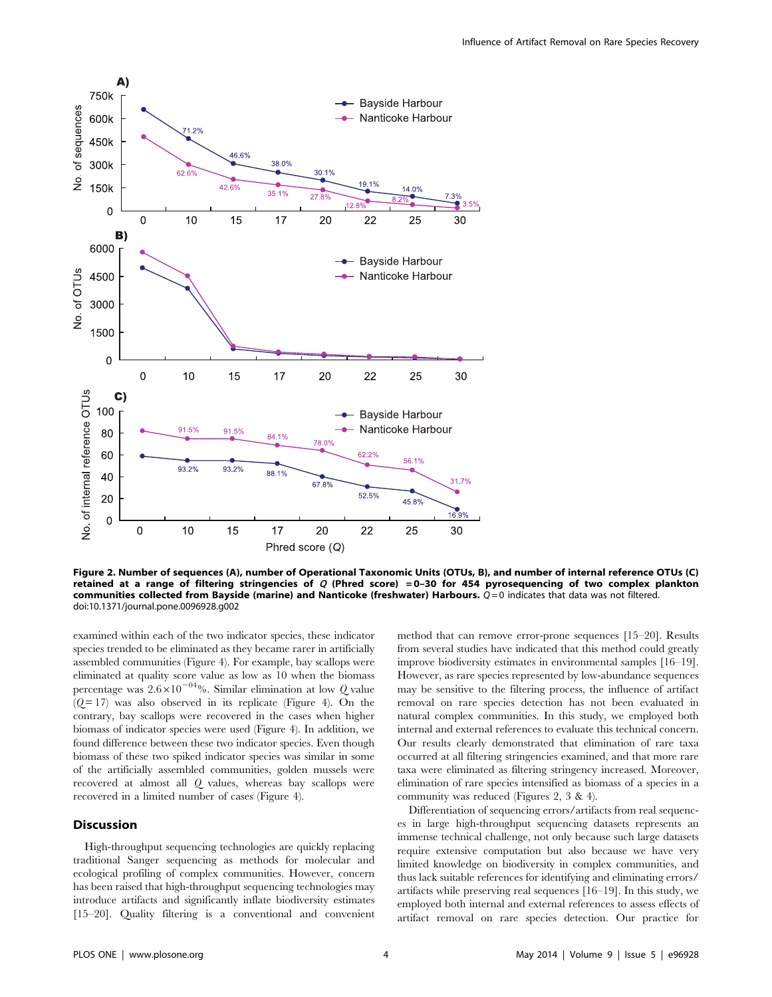

Figure 2. Number of sequences (A), number of Operational Taxonomic Units (OTUs, B), and number of internal reference OTUs (C) retained at a range of filtering stringencies of  $Q$  (Phred score) = 0-30 for 454 pyrosequencing of two complex plankton communities collected from Bayside (marine) and Nanticoke (freshwater) Harbours.  $Q=0$  indicates that data was not filtered. doi:10.1371/journal.pone.0096928.g002

examined within each of the two indicator species, these indicator species trended to be eliminated as they became rarer in artificially assembled communities (Figure 4). For example, bay scallops were eliminated at quality score value as low as 10 when the biomass percentage was  $2.6 \times 10^{-04}$ %. Similar elimination at low Q value  $(Q=17)$  was also observed in its replicate (Figure 4). On the contrary, bay scallops were recovered in the cases when higher biomass of indicator species were used (Figure 4). In addition, we found difference between these two indicator species. Even though biomass of these two spiked indicator species was similar in some of the artificially assembled communities, golden mussels were recovered at almost all Q values, whereas bay scallops were recovered in a limited number of cases (Figure 4).

# Discussion

High-throughput sequencing technologies are quickly replacing traditional Sanger sequencing as methods for molecular and ecological profiling of complex communities. However, concern has been raised that high-throughput sequencing technologies may introduce artifacts and significantly inflate biodiversity estimates [15–20]. Quality filtering is a conventional and convenient method that can remove error-prone sequences [15–20]. Results from several studies have indicated that this method could greatly improve biodiversity estimates in environmental samples [16–19]. However, as rare species represented by low-abundance sequences may be sensitive to the filtering process, the influence of artifact removal on rare species detection has not been evaluated in natural complex communities. In this study, we employed both internal and external references to evaluate this technical concern. Our results clearly demonstrated that elimination of rare taxa occurred at all filtering stringencies examined, and that more rare taxa were eliminated as filtering stringency increased. Moreover, elimination of rare species intensified as biomass of a species in a community was reduced (Figures 2, 3 & 4).

Differentiation of sequencing errors/artifacts from real sequences in large high-throughput sequencing datasets represents an immense technical challenge, not only because such large datasets require extensive computation but also because we have very limited knowledge on biodiversity in complex communities, and thus lack suitable references for identifying and eliminating errors/ artifacts while preserving real sequences [16–19]. In this study, we employed both internal and external references to assess effects of artifact removal on rare species detection. Our practice for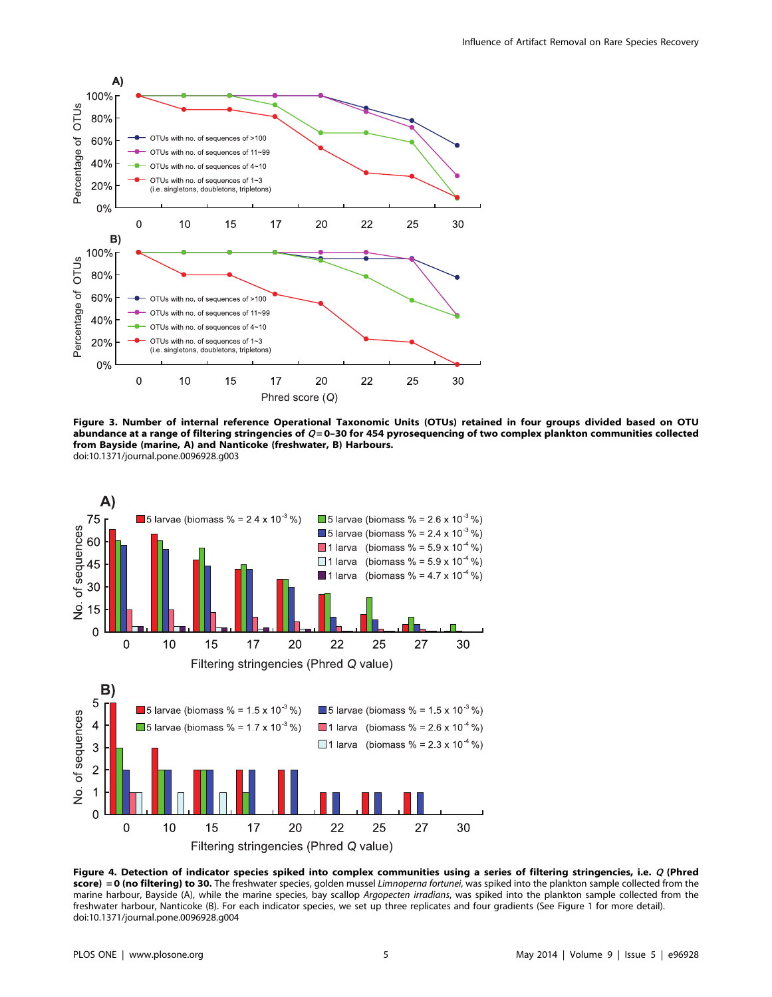

Figure 3. Number of internal reference Operational Taxonomic Units (OTUs) retained in four groups divided based on OTU abundance at a range of filtering stringencies of  $Q=0-30$  for 454 pyrosequencing of two complex plankton communities collected from Bayside (marine, A) and Nanticoke (freshwater, B) Harbours. doi:10.1371/journal.pone.0096928.g003



Figure 4. Detection of indicator species spiked into complex communities using a series of filtering stringencies, i.e. Q (Phred score) = 0 (no filtering) to 30. The freshwater species, golden mussel Limnoperna fortunei, was spiked into the plankton sample collected from the marine harbour, Bayside (A), while the marine species, bay scallop Argopecten irradians, was spiked into the plankton sample collected from the freshwater harbour, Nanticoke (B). For each indicator species, we set up three replicates and four gradients (See Figure 1 for more detail). doi:10.1371/journal.pone.0096928.g004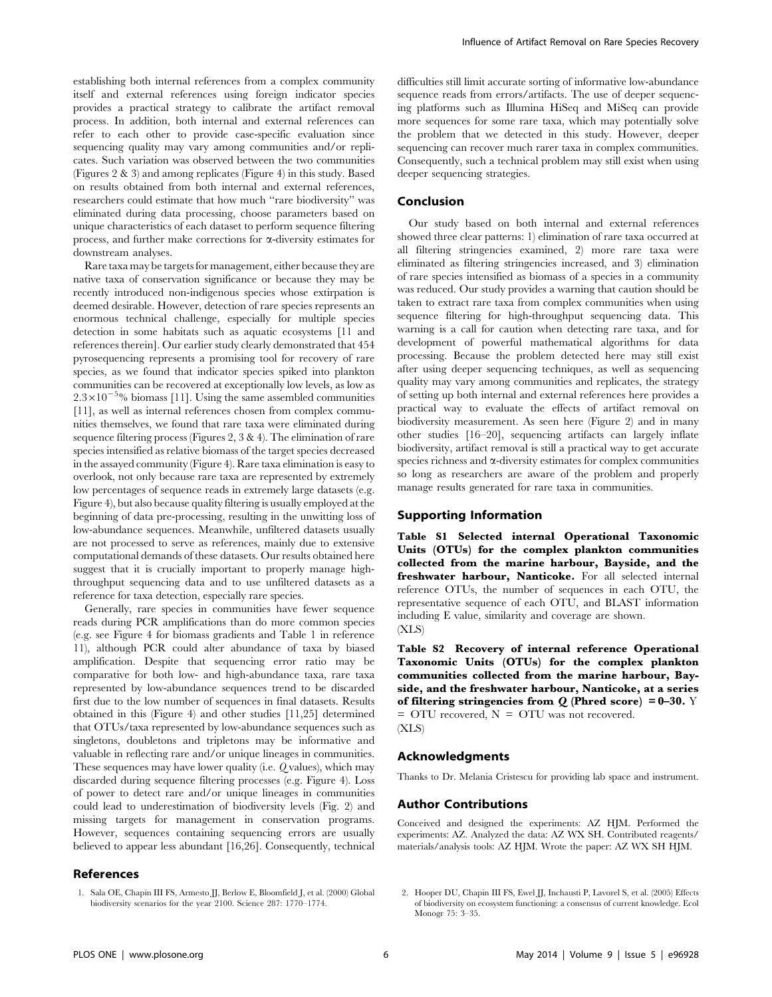establishing both internal references from a complex community itself and external references using foreign indicator species provides a practical strategy to calibrate the artifact removal process. In addition, both internal and external references can refer to each other to provide case-specific evaluation since sequencing quality may vary among communities and/or replicates. Such variation was observed between the two communities (Figures 2 & 3) and among replicates (Figure 4) in this study. Based on results obtained from both internal and external references, researchers could estimate that how much ''rare biodiversity'' was eliminated during data processing, choose parameters based on unique characteristics of each dataset to perform sequence filtering process, and further make corrections for  $\alpha$ -diversity estimates for downstream analyses.

Rare taxa may be targets for management, either because they are native taxa of conservation significance or because they may be recently introduced non-indigenous species whose extirpation is deemed desirable. However, detection of rare species represents an enormous technical challenge, especially for multiple species detection in some habitats such as aquatic ecosystems [11 and references therein]. Our earlier study clearly demonstrated that 454 pyrosequencing represents a promising tool for recovery of rare species, as we found that indicator species spiked into plankton communities can be recovered at exceptionally low levels, as low as  $2.3\times10^{-5}$ % biomass [11]. Using the same assembled communities [11], as well as internal references chosen from complex communities themselves, we found that rare taxa were eliminated during sequence filtering process (Figures 2, 3 & 4). The elimination of rare species intensified as relative biomass of the target species decreased in the assayed community (Figure 4). Rare taxa elimination is easy to overlook, not only because rare taxa are represented by extremely low percentages of sequence reads in extremely large datasets (e.g. Figure 4), but also because quality filtering is usually employed at the beginning of data pre-processing, resulting in the unwitting loss of low-abundance sequences. Meanwhile, unfiltered datasets usually are not processed to serve as references, mainly due to extensive computational demands of these datasets. Our results obtained here suggest that it is crucially important to properly manage highthroughput sequencing data and to use unfiltered datasets as a reference for taxa detection, especially rare species.

Generally, rare species in communities have fewer sequence reads during PCR amplifications than do more common species (e.g. see Figure 4 for biomass gradients and Table 1 in reference 11), although PCR could alter abundance of taxa by biased amplification. Despite that sequencing error ratio may be comparative for both low- and high-abundance taxa, rare taxa represented by low-abundance sequences trend to be discarded first due to the low number of sequences in final datasets. Results obtained in this (Figure 4) and other studies [11,25] determined that OTUs/taxa represented by low-abundance sequences such as singletons, doubletons and tripletons may be informative and valuable in reflecting rare and/or unique lineages in communities. These sequences may have lower quality (i.e. Q values), which may discarded during sequence filtering processes (e.g. Figure 4). Loss of power to detect rare and/or unique lineages in communities could lead to underestimation of biodiversity levels (Fig. 2) and missing targets for management in conservation programs. However, sequences containing sequencing errors are usually believed to appear less abundant [16,26]. Consequently, technical

#### References

difficulties still limit accurate sorting of informative low-abundance sequence reads from errors/artifacts. The use of deeper sequencing platforms such as Illumina HiSeq and MiSeq can provide more sequences for some rare taxa, which may potentially solve the problem that we detected in this study. However, deeper sequencing can recover much rarer taxa in complex communities. Consequently, such a technical problem may still exist when using deeper sequencing strategies.

# Conclusion

Our study based on both internal and external references showed three clear patterns: 1) elimination of rare taxa occurred at all filtering stringencies examined, 2) more rare taxa were eliminated as filtering stringencies increased, and 3) elimination of rare species intensified as biomass of a species in a community was reduced. Our study provides a warning that caution should be taken to extract rare taxa from complex communities when using sequence filtering for high-throughput sequencing data. This warning is a call for caution when detecting rare taxa, and for development of powerful mathematical algorithms for data processing. Because the problem detected here may still exist after using deeper sequencing techniques, as well as sequencing quality may vary among communities and replicates, the strategy of setting up both internal and external references here provides a practical way to evaluate the effects of artifact removal on biodiversity measurement. As seen here (Figure 2) and in many other studies [16–20], sequencing artifacts can largely inflate biodiversity, artifact removal is still a practical way to get accurate species richness and  $\alpha$ -diversity estimates for complex communities so long as researchers are aware of the problem and properly manage results generated for rare taxa in communities.

# Supporting Information

Table S1 Selected internal Operational Taxonomic Units (OTUs) for the complex plankton communities collected from the marine harbour, Bayside, and the freshwater harbour, Nanticoke. For all selected internal reference OTUs, the number of sequences in each OTU, the representative sequence of each OTU, and BLAST information including E value, similarity and coverage are shown. (XLS)

Table S2 Recovery of internal reference Operational Taxonomic Units (OTUs) for the complex plankton communities collected from the marine harbour, Bayside, and the freshwater harbour, Nanticoke, at a series of filtering stringencies from  $Q$  (Phred score) = 0–30. Y = OTU recovered, N = OTU was not recovered. (XLS)

### Acknowledgments

Thanks to Dr. Melania Cristescu for providing lab space and instrument.

# Author Contributions

Conceived and designed the experiments: AZ HJM. Performed the experiments: AZ. Analyzed the data: AZ WX SH. Contributed reagents/ materials/analysis tools: AZ HJM. Wrote the paper: AZ WX SH HJM.

1. Sala OE, Chapin III FS, Armesto JJ, Berlow E, Bloomfield J, et al. (2000) Global biodiversity scenarios for the year 2100. Science 287: 1770–1774.

<sup>2.</sup> Hooper DU, Chapin III FS, Ewel JJ, Inchausti P, Lavorel S, et al. (2005) Effects of biodiversity on ecosystem functioning: a consensus of current knowledge. Ecol Monogr 75: 3–35.